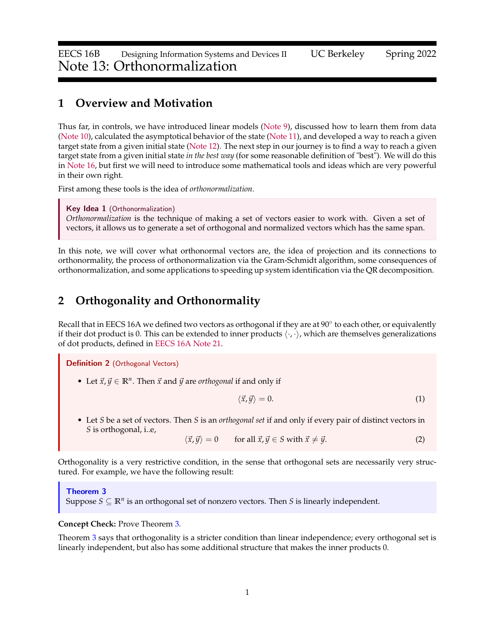## **1 Overview and Motivation**

Thus far, in controls, we have introduced linear models [\(Note 9\)](https://www.eecs16b.org/notes/sp22/note09.pdf), discussed how to learn them from data [\(Note 10\)](https://www.eecs16b.org/notes/sp22/note10.pdf), calculated the asymptotical behavior of the state [\(Note 11\)](https://www.eecs16b.org/notes/sp22/note11.pdf), and developed a way to reach a given target state from a given initial state [\(Note 12\)](https://www.eecs16b.org/notes/sp22/note12.pdf). The next step in our journey is to find a way to reach a given target state from a given initial state *in the best way* (for some reasonable definition of "best"). We will do this in [Note 16,](https://www.eecs16b.org/notes/sp22/note16.pdf) but first we will need to introduce some mathematical tools and ideas which are very powerful in their own right.

First among these tools is the idea of *orthonormalization*.

Key Idea 1 (Orthonormalization)

*Orthonormalization* is the technique of making a set of vectors easier to work with. Given a set of vectors, it allows us to generate a set of orthogonal and normalized vectors which has the same span.

In this note, we will cover what orthonormal vectors are, the idea of projection and its connections to orthonormality, the process of orthonormalization via the Gram-Schmidt algorithm, some consequences of orthonormalization, and some applications to speeding up system identification via the QR decomposition.

# **2 Orthogonality and Orthonormality**

Recall that in EECS 16A we defined two vectors as orthogonal if they are at 90° to each other, or equivalently if their dot product is 0. This can be extended to inner products  $\langle \cdot, \cdot \rangle$ , which are themselves generalizations of dot products, defined in [EECS 16A Note 21.](https://eecs16a.org/lecture/Note21.pdf)

<span id="page-0-1"></span>Definition 2 (Orthogonal Vectors)

• Let  $\vec{x}$ ,  $\vec{y} \in \mathbb{R}^n$ . Then  $\vec{x}$  and  $\vec{y}$  are *orthogonal* if and only if

$$
\langle \vec{x}, \vec{y} \rangle = 0. \tag{1}
$$

• Let *S* be a set of vectors. Then *S* is an *orthogonal set* if and only if every pair of distinct vectors in *S* is orthogonal, i..e,

 $\langle \vec{x}, \vec{y} \rangle = 0$  for all  $\vec{x}, \vec{y} \in S$  with  $\vec{x} \neq \vec{y}$ . (2)

Orthogonality is a very restrictive condition, in the sense that orthogonal sets are necessarily very structured. For example, we have the following result:

## <span id="page-0-0"></span>Theorem 3 Suppose  $S \subseteq \mathbb{R}^n$  is an orthogonal set of nonzero vectors. Then *S* is linearly independent.

### **Concept Check:** Prove Theorem [3.](#page-0-0)

Theorem [3](#page-0-0) says that orthogonality is a stricter condition than linear independence; every orthogonal set is linearly independent, but also has some additional structure that makes the inner products 0.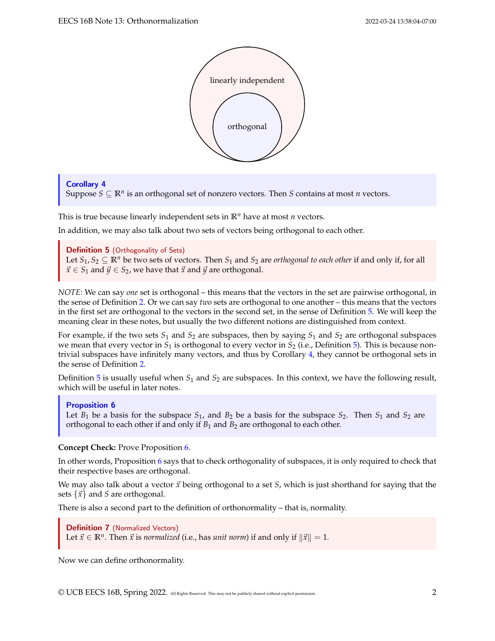

### <span id="page-1-1"></span>Corollary 4

Suppose  $S \subseteq \mathbb{R}^n$  is an orthogonal set of nonzero vectors. Then *S* contains at most *n* vectors.

This is true because linearly independent sets in **R***<sup>n</sup>* have at most *n* vectors.

In addition, we may also talk about two sets of vectors being orthogonal to each other.

<span id="page-1-0"></span>**Definition 5** (Orthogonality of Sets)

Let  $S_1, S_2 \subseteq \mathbb{R}^n$  be two sets of vectors. Then  $S_1$  and  $S_2$  are *orthogonal to each other* if and only if, for all  $\vec{x} \in S_1$  and  $\vec{y} \in S_2$ , we have that  $\vec{x}$  and  $\vec{y}$  are orthogonal.

*NOTE*: We can say *one* set is orthogonal – this means that the vectors in the set are pairwise orthogonal, in the sense of Definition [2.](#page-0-1) Or we can say *two* sets are orthogonal to one another – this means that the vectors in the first set are orthogonal to the vectors in the second set, in the sense of Definition [5.](#page-1-0) We will keep the meaning clear in these notes, but usually the two different notions are distinguished from context.

For example, if the two sets *S*<sup>1</sup> and *S*<sup>2</sup> are subspaces, then by saying *S*<sup>1</sup> and *S*<sup>2</sup> are orthogonal subspaces we mean that every vector in  $S_1$  is orthogonal to every vector in  $S_2$  (i.e., Definition [5\)](#page-1-0). This is because nontrivial subspaces have infinitely many vectors, and thus by Corollary [4,](#page-1-1) they cannot be orthogonal sets in the sense of Definition [2.](#page-0-1)

Definition [5](#page-1-0) is usually useful when  $S_1$  and  $S_2$  are subspaces. In this context, we have the following result, which will be useful in later notes.

### <span id="page-1-2"></span>Proposition 6

Let  $B_1$  be a basis for the subspace  $S_1$ , and  $B_2$  be a basis for the subspace  $S_2$ . Then  $S_1$  and  $S_2$  are orthogonal to each other if and only if  $B_1$  and  $B_2$  are orthogonal to each other.

**Concept Check:** Prove Proposition [6.](#page-1-2)

In other words, Proposition [6](#page-1-2) says that to check orthogonality of subspaces, it is only required to check that their respective bases are orthogonal.

We may also talk about a vector  $\vec{x}$  being orthogonal to a set *S*, which is just shorthand for saying that the sets  $\{\vec{x}\}\$ and *S* are orthogonal.

There is also a second part to the definition of orthonormality – that is, normality.

Definition 7 (Normalized Vectors) Let  $\vec{x} \in \mathbb{R}^n$ . Then  $\vec{x}$  is *normalized* (i.e., has *unit norm*) if and only if  $\|\vec{x}\| = 1$ .

Now we can define orthonormality.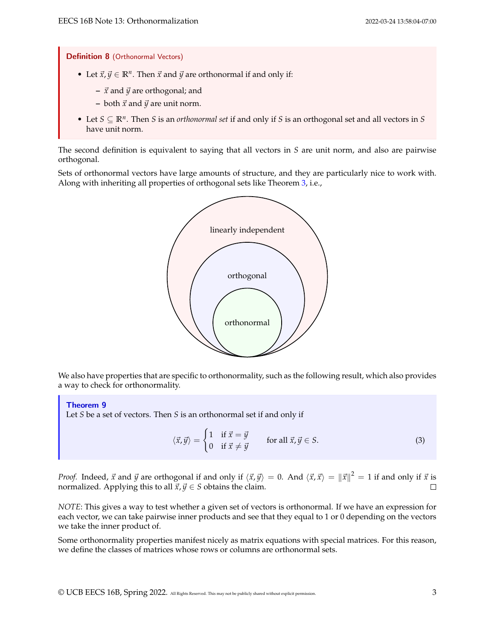Definition 8 (Orthonormal Vectors)

- Let  $\vec{x}, \vec{y} \in \mathbb{R}^n$ . Then  $\vec{x}$  and  $\vec{y}$  are orthonormal if and only if:
	- **–** ⃗*x* and ⃗*y* are orthogonal; and
	- $-$  both  $\vec{x}$  and  $\vec{y}$  are unit norm.
- Let *S* ⊆ **R***<sup>n</sup>* . Then *S* is an *orthonormal set* if and only if *S* is an orthogonal set and all vectors in *S* have unit norm.

The second definition is equivalent to saying that all vectors in *S* are unit norm, and also are pairwise orthogonal.

Sets of orthonormal vectors have large amounts of structure, and they are particularly nice to work with. Along with inheriting all properties of orthogonal sets like Theorem [3,](#page-0-0) i.e.,



We also have properties that are specific to orthonormality, such as the following result, which also provides a way to check for orthonormality.

<span id="page-2-0"></span>Theorem 9

Let *S* be a set of vectors. Then *S* is an orthonormal set if and only if

$$
\langle \vec{x}, \vec{y} \rangle = \begin{cases} 1 & \text{if } \vec{x} = \vec{y} \\ 0 & \text{if } \vec{x} \neq \vec{y} \end{cases} \qquad \text{for all } \vec{x}, \vec{y} \in S. \tag{3}
$$

*Proof.* Indeed,  $\vec{x}$  and  $\vec{y}$  are orthogonal if and only if  $\langle \vec{x},\vec{y}\rangle=0$ . And  $\langle \vec{x},\vec{x}\rangle=\|\vec{x}\|^2=1$  if and only if  $\vec{x}$  is normalized. Applying this to all  $\vec{x}, \vec{y} \in S$  obtains the claim.

*NOTE*: This gives a way to test whether a given set of vectors is orthonormal. If we have an expression for each vector, we can take pairwise inner products and see that they equal to 1 or 0 depending on the vectors we take the inner product of.

Some orthonormality properties manifest nicely as matrix equations with special matrices. For this reason, we define the classes of matrices whose rows or columns are orthonormal sets.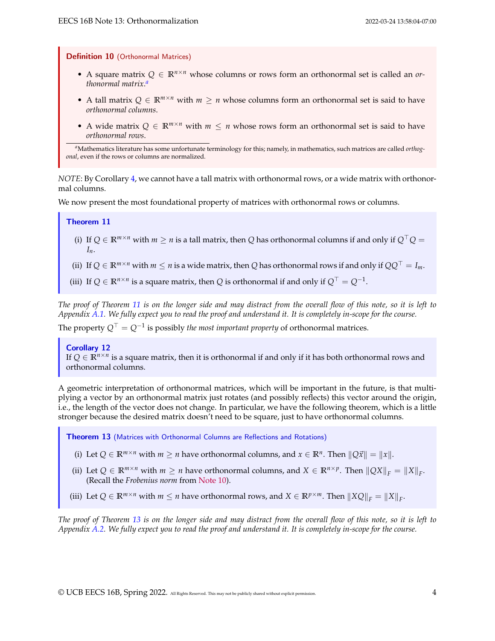Definition 10 (Orthonormal Matrices)

- A square matrix *Q* ∈ **R***n*×*<sup>n</sup>* whose columns or rows form an orthonormal set is called an *orthonormal matrix*. *[a](#page-3-0)*
- A tall matrix  $Q \in \mathbb{R}^{m \times n}$  with  $m \ge n$  whose columns form an orthonormal set is said to have *orthonormal columns*.
- A wide matrix  $Q \in \mathbb{R}^{m \times n}$  with  $m \leq n$  whose rows form an orthonormal set is said to have *orthonormal rows*.

<span id="page-3-0"></span>*<sup>a</sup>*Mathematics literature has some unfortunate terminology for this; namely, in mathematics, such matrices are called *orthogonal*, even if the rows or columns are normalized.

*NOTE*: By Corollary [4,](#page-1-1) we cannot have a tall matrix with orthonormal rows, or a wide matrix with orthonormal columns.

We now present the most foundational property of matrices with orthonormal rows or columns.

### <span id="page-3-1"></span>Theorem 11

- (i) If  $Q \in \mathbb{R}^{m \times n}$  with  $m \ge n$  is a tall matrix, then *Q* has orthonormal columns if and only if  $Q^{\top}Q =$ *In*.
- (ii) If  $Q \in \mathbb{R}^{m \times n}$  with  $m \le n$  is a wide matrix, then *Q* has orthonormal rows if and only if  $QQ$ <sup>⊤</sup> = *I<sub>m</sub>*.

(iii) If  $Q \in \mathbb{R}^{n \times n}$  is a square matrix, then *Q* is orthonormal if and only if  $Q^{\top} = Q^{-1}$ .

*The proof of Theorem [11](#page-3-1) is on the longer side and may distract from the overall flow of this note, so it is left to Appendix [A.1.](#page-13-0) We fully expect you to read the proof and understand it. It is completely in-scope for the course.*

The property  $Q^\top = Q^{-1}$  is possibly *the most important property* of orthonormal matrices.

### Corollary 12

If  $Q \in \mathbb{R}^{n \times n}$  is a square matrix, then it is orthonormal if and only if it has both orthonormal rows and orthonormal columns.

A geometric interpretation of orthonormal matrices, which will be important in the future, is that multiplying a vector by an orthonormal matrix just rotates (and possibly reflects) this vector around the origin, i.e., the length of the vector does not change. In particular, we have the following theorem, which is a little stronger because the desired matrix doesn't need to be square, just to have orthonormal columns.

<span id="page-3-2"></span>Theorem 13 (Matrices with Orthonormal Columns are Reflections and Rotations)

- (i) Let  $Q \in \mathbb{R}^{m \times n}$  with  $m \ge n$  have orthonormal columns, and  $x \in \mathbb{R}^n$ . Then  $||Q\vec{x}|| = ||x||$ .
- (ii) Let  $Q \in \mathbb{R}^{m \times n}$  with  $m \ge n$  have orthonormal columns, and  $X \in \mathbb{R}^{n \times p}$ . Then  $||QX||_F = ||X||_F$ . (Recall the *Frobenius norm* from [Note 10\)](https://www.eecs16b.org/notes/sp22/note10.pdf).
- (iii) Let  $Q \in \mathbb{R}^{m \times n}$  with  $m \leq n$  have orthonormal rows, and  $X \in \mathbb{R}^{p \times m}$ . Then  $||XQ||_F = ||X||_F$ .

*The proof of Theorem [13](#page-3-2) is on the longer side and may distract from the overall flow of this note, so it is left to Appendix [A.2.](#page-13-1) We fully expect you to read the proof and understand it. It is completely in-scope for the course.*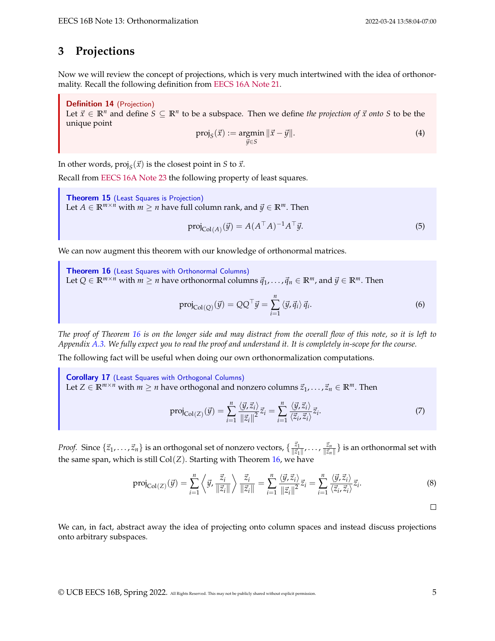## **3 Projections**

Now we will review the concept of projections, which is very much intertwined with the idea of orthonormality. Recall the following definition from [EECS 16A Note 21.](https://eecs16a.org/lecture/Note21.pdf)

Definition 14 (Projection) Let  $\vec{x} \in \mathbb{R}^n$  and define  $S \subseteq \mathbb{R}^n$  to be a subspace. Then we define *the projection of*  $\vec{x}$  *onto* S to be the unique point

$$
\text{proj}_S(\vec{x}) := \underset{\vec{y} \in S}{\text{argmin}} \|\vec{x} - \vec{y}\|.
$$
 (4)

In other words,  $\text{proj}_S(\vec{x})$  is the closest point in *S* to  $\vec{x}$ .

Recall from [EECS 16A Note 23](https://eecs16a.org/lecture/Note23.pdf) the following property of least squares.

<span id="page-4-2"></span>Theorem 15 (Least Squares is Projection) Let *A* ∈  $\mathbb{R}^{m \times n}$  with *m* ≥ *n* have full column rank, and  $\vec{y}$  ∈  $\mathbb{R}^m$ . Then

$$
\operatorname{proj}_{\operatorname{Col}(A)}(\vec{y}) = A(A^\top A)^{-1} A^\top \vec{y}.\tag{5}
$$

We can now augment this theorem with our knowledge of orthonormal matrices.

<span id="page-4-0"></span>Theorem 16 (Least Squares with Orthonormal Columns) Let *Q* ∈  $\mathbb{R}^{m \times n}$  with *m* ≥ *n* have orthonormal columns  $\vec{q}_1, \ldots, \vec{q}_n$  ∈  $\mathbb{R}^m$ , and  $\vec{y}$  ∈  $\mathbb{R}^m$ . Then  $proj_{\text{Col}(Q)}(\vec{y}) = QQ^{\top}\vec{y} = \sum_{i=1}^{n}$  $\langle \vec{y}, \vec{q}_i \rangle \vec{q}_i$ .  $(6)$ 

*The proof of Theorem [16](#page-4-0) is on the longer side and may distract from the overall flow of this note, so it is left to Appendix [A.3.](#page-14-0) We fully expect you to read the proof and understand it. It is completely in-scope for the course.*

The following fact will be useful when doing our own orthonormalization computations.

<span id="page-4-1"></span>Corollary 17 (Least Squares with Orthogonal Columns) Let *Z* ∈  $\mathbb{R}^{m \times n}$  with *m* ≥ *n* have orthogonal and nonzero columns  $\vec{z}_1, \ldots, \vec{z}_n$  ∈  $\mathbb{R}^m$ . Then

$$
\text{proj}_{\text{Col}(Z)}(\vec{y}) = \sum_{i=1}^{n} \frac{\langle \vec{y}, \vec{z}_i \rangle}{\|\vec{z}_i\|^2} \vec{z}_i = \sum_{i=1}^{n} \frac{\langle \vec{y}, \vec{z}_i \rangle}{\langle \vec{z}_i, \vec{z}_i \rangle} \vec{z}_i.
$$
 (7)

*Proof.* Since  $\{\vec{z}_1,\ldots,\vec{z}_n\}$  is an orthogonal set of nonzero vectors,  $\{\frac{\vec{z}_1}{\|\vec{z}_1\|_2}$  $\frac{\vec{z}_1}{\|\vec{z}_1 \|}$ ' $\cdots$ ' $\frac{\vec{z}_n}{\|\vec{z}_n\|}$  $\frac{z_n}{\|\vec{z}_n\|}\}$  is an orthonormal set with the same span, which is still  $Col(Z)$ . Starting with Theorem [16,](#page-4-0) we have

$$
\text{proj}_{\text{Col}(Z)}(\vec{y}) = \sum_{i=1}^{n} \left\langle \vec{y}, \frac{\vec{z}_i}{\|\vec{z}_i\|} \right\rangle \frac{\vec{z}_i}{\|\vec{z}_i\|} = \sum_{i=1}^{n} \frac{\langle \vec{y}, \vec{z}_i \rangle}{\|\vec{z}_i\|^2} \vec{z}_i = \sum_{i=1}^{n} \frac{\langle \vec{y}, \vec{z}_i \rangle}{\langle \vec{z}_i, \vec{z}_i \rangle} \vec{z}_i.
$$
 (8)

 $\Box$ 

We can, in fact, abstract away the idea of projecting onto column spaces and instead discuss projections onto arbitrary subspaces.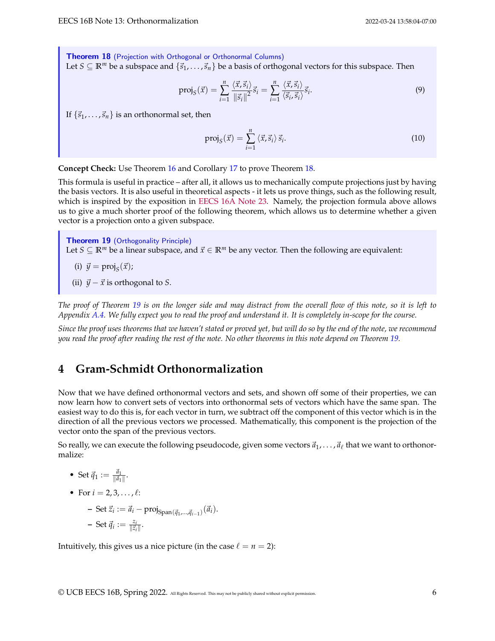<span id="page-5-0"></span>Theorem 18 (Projection with Orthogonal or Orthonormal Columns) Let *S* ⊆ **R**<sup>*m*</sup> be a subspace and { $\vec{s}_1$ , . . . ,  $\vec{s}_n$ } be a basis of orthogonal vectors for this subspace. Then

$$
\text{proj}_S(\vec{x}) = \sum_{i=1}^n \frac{\langle \vec{x}, \vec{s}_i \rangle}{\|\vec{s}_i\|^2} \vec{s}_i = \sum_{i=1}^n \frac{\langle \vec{x}, \vec{s}_i \rangle}{\langle \vec{s}_i, \vec{s}_i \rangle} \vec{s}_i.
$$
 (9)

If  $\{\vec{s}_1, \ldots, \vec{s}_n\}$  is an orthonormal set, then

$$
\text{proj}_{S}(\vec{x}) = \sum_{i=1}^{n} \langle \vec{x}, \vec{s}_i \rangle \vec{s}_i. \tag{10}
$$

**Concept Check:** Use Theorem [16](#page-4-0) and Corollary [17](#page-4-1) to prove Theorem [18.](#page-5-0)

This formula is useful in practice – after all, it allows us to mechanically compute projections just by having the basis vectors. It is also useful in theoretical aspects - it lets us prove things, such as the following result, which is inspired by the exposition in [EECS 16A Note 23.](https://eecs16a.org/lecture/Note23.pdf) Namely, the projection formula above allows us to give a much shorter proof of the following theorem, which allows us to determine whether a given vector is a projection onto a given subspace.

<span id="page-5-1"></span>Theorem 19 (Orthogonality Principle) Let  $S \subseteq \mathbb{R}^m$  be a linear subspace, and  $\vec{x} \in \mathbb{R}^m$  be any vector. Then the following are equivalent:

$$
(i) \ \vec{y} = \text{proj}_S(\vec{x});
$$

(ii)  $\vec{y} - \vec{x}$  is orthogonal to *S*.

*The proof of Theorem [19](#page-5-1) is on the longer side and may distract from the overall flow of this note, so it is left to Appendix [A.4.](#page-14-1) We fully expect you to read the proof and understand it. It is completely in-scope for the course.*

*Since the proof uses theorems that we haven't stated or proved yet, but will do so by the end of the note, we recommend you read the proof after reading the rest of the note. No other theorems in this note depend on Theorem [19.](#page-5-1)*

# **4 Gram-Schmidt Orthonormalization**

Now that we have defined orthonormal vectors and sets, and shown off some of their properties, we can now learn how to convert sets of vectors into orthonormal sets of vectors which have the same span. The easiest way to do this is, for each vector in turn, we subtract off the component of this vector which is in the direction of all the previous vectors we processed. Mathematically, this component is the projection of the vector onto the span of the previous vectors.

So really, we can execute the following pseudocode, given some vectors  $\vec{a}_1,\ldots,\vec{a}_\ell$  that we want to orthonormalize:

• Set  $\vec{q}_1 := \frac{\vec{a}_1}{\|\vec{a}_1\|}$  $\frac{u_1}{\|\vec{a}_1\|}$ .

• For 
$$
i = 2, 3, \ldots, \ell
$$
:

**-** Set  $\vec{z}_i := \vec{a}_i - \text{proj}_{\text{Span}(\vec{q}_1, ..., \vec{q}_{i-1})}(\vec{a}_i)$ .  $-$  Set  $\vec{q}_i := \frac{z_i}{\|\vec{z}_i\|}$  $\frac{z_i}{\|\vec{z}_i\|}$ .

Intuitively, this gives us a nice picture (in the case  $\ell = n = 2$ ):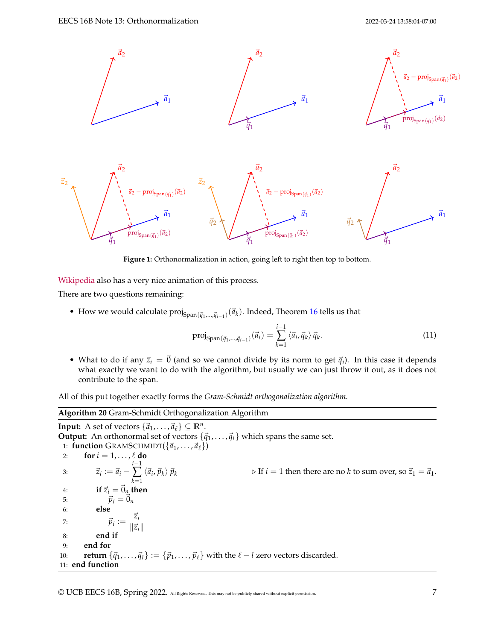

**Figure 1:** Orthonormalization in action, going left to right then top to bottom.

[Wikipedia](https://en.wikipedia.org/wiki/Gram%E2%80%93Schmidt_process#/media/File:Gram-Schmidt_orthonormalization_process.gif) also has a very nice animation of this process.

There are two questions remaining:

• How we would calculate  $proj_{Span(\vec{q}_1,...,\vec{q}_{i-1})}(\vec{a}_k)$ . Indeed, Theorem [16](#page-4-0) tells us that

$$
\text{proj}_{\text{Span}(\vec{q}_1, \dots, \vec{q}_{i-1})}(\vec{a}_i) = \sum_{k=1}^{i-1} \langle \vec{a}_i, \vec{q}_k \rangle \, \vec{q}_k. \tag{11}
$$

• What to do if any  $\vec{z}_i = \vec{0}$  (and so we cannot divide by its norm to get  $\vec{q}_i$ ). In this case it depends what exactly we want to do with the algorithm, but usually we can just throw it out, as it does not contribute to the span.

All of this put together exactly forms the *Gram-Schmidt orthogonalization algorithm.*

<span id="page-6-0"></span>**Algorithm 20** Gram-Schmidt Orthogonalization Algorithm **Input:** A set of vectors  $\{\vec{a}_1, \ldots, \vec{a}_\ell\} \subseteq \mathbb{R}^n$ . **Output:** An orthonormal set of vectors  $\{\vec{q}_1, \ldots, \vec{q}_l\}$  which spans the same set. 1: **function** GRAMSCHMIDT( $\{\vec{a}_1, \ldots, \vec{a}_\ell\}$ ) 2: **for**  $i = 1, \ldots, \ell$  **do** 3:  $\vec{z}_i := \vec{a}_i$ *i*−1 ∑ *k*=1  $\langle \vec{a}_i$  $\rhd$  If *i* = 1 then there are no *k* to sum over, so  $\vec{z}_1 = \vec{a}_1$ . 4: **if**  $\vec{z}_i = \vec{0}_n$  **then** 5:  $\vec{p}_i = \vec{0}_n$ 6: **else** 7:  $\vec{p}_i := \frac{\vec{z}_i}{\|\vec{z}\|}$ ∥⃗*zi*∥ 8: **end if** 9: **end for** 10: **return**  $\{\vec{q}_1, \ldots, \vec{q}_l\} := \{\vec{p}_1, \ldots, \vec{p}_\ell\}$  with the  $\ell - l$  zero vectors discarded. 11: **end function**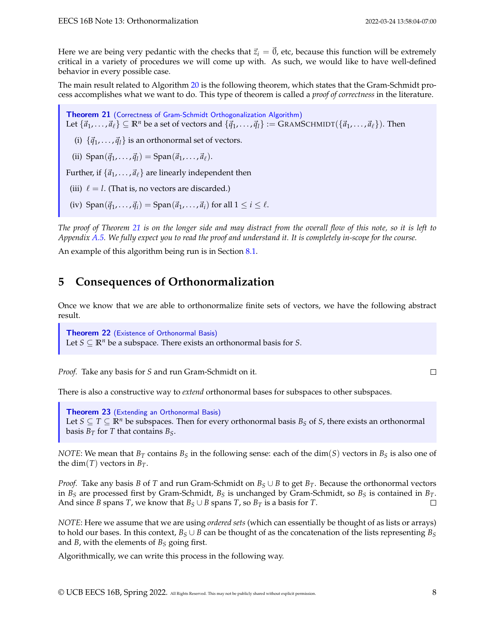Here we are being very pedantic with the checks that  $\vec{z}_i = \vec{0}$ , etc, because this function will be extremely critical in a variety of procedures we will come up with. As such, we would like to have well-defined behavior in every possible case.

The main result related to Algorithm [20](#page-6-0) is the following theorem, which states that the Gram-Schmidt process accomplishes what we want to do. This type of theorem is called a *proof of correctness* in the literature.

<span id="page-7-0"></span>Theorem 21 (Correctness of [Gram-Schmidt Orthogonalization Algorithm\)](#page-6-0) Let  $\{\vec{a}_1, \ldots, \vec{a}_\ell\} \subseteq \mathbb{R}^n$  be a set of vectors and  $\{\vec{q}_1, \ldots, \vec{q}_l\} := \text{GRAMSCHMIDT}(\{\vec{a}_1, \ldots, \vec{a}_\ell\})$ . Then

(i)  $\{\vec{q}_1, \ldots, \vec{q}_l\}$  is an orthonormal set of vectors.

(ii)  $\text{Span}(\vec{q}_1, \ldots, \vec{q}_l) = \text{Span}(\vec{a}_1, \ldots, \vec{a}_l).$ 

Further, if  $\{\vec{a}_1, \ldots, \vec{a}_\ell\}$  are linearly independent then

(iii)  $\ell = l$ . (That is, no vectors are discarded.)

(iv)  $\text{Span}(\vec{q}_1, \ldots, \vec{q}_i) = \text{Span}(\vec{a}_1, \ldots, \vec{a}_i)$  for all  $1 \leq i \leq \ell$ .

*The proof of Theorem [21](#page-7-0) is on the longer side and may distract from the overall flow of this note, so it is left to Appendix [A.5.](#page-15-0) We fully expect you to read the proof and understand it. It is completely in-scope for the course.*

An example of this algorithm being run is in Section [8.1.](#page-10-0)

## **5 Consequences of Orthonormalization**

Once we know that we are able to orthonormalize finite sets of vectors, we have the following abstract result.

<span id="page-7-1"></span>Theorem 22 (Existence of Orthonormal Basis) Let *S*  $\subseteq$   $\mathbb{R}^n$  be a subspace. There exists an orthonormal basis for *S*.

*Proof.* Take any basis for *S* and run Gram-Schmidt on it.

There is also a constructive way to *extend* orthonormal bases for subspaces to other subspaces.

<span id="page-7-2"></span>**Theorem 23** (Extending an Orthonormal Basis) Let *S*  $\subseteq$  *T*  $\subseteq$  **R**<sup>*n*</sup> be subspaces. Then for every orthonormal basis *B*<sub>*S*</sub> of *S*, there exists an orthonormal basis  $B_T$  for *T* that contains  $B_S$ .

*NOTE*: We mean that  $B_T$  contains  $B_S$  in the following sense: each of the dim(*S*) vectors in  $B_S$  is also one of the dim(*T*) vectors in  $B_T$ .

*Proof.* Take any basis *B* of *T* and run Gram-Schmidt on  $B_S \cup B$  to get  $B_T$ . Because the orthonormal vectors in *B<sup>S</sup>* are processed first by Gram-Schmidt, *B<sup>S</sup>* is unchanged by Gram-Schmidt, so *B<sup>S</sup>* is contained in *BT*. And since *B* spans *T*, we know that  $B_S \cup B$  spans *T*, so  $B_T$  is a basis for *T*. П

*NOTE*: Here we assume that we are using *ordered sets* (which can essentially be thought of as lists or arrays) to hold our bases. In this context,  $B_S \cup B$  can be thought of as the concatenation of the lists representing  $B_S$ and *B*, with the elements of *B<sup>S</sup>* going first.

Algorithmically, we can write this process in the following way.

 $\Box$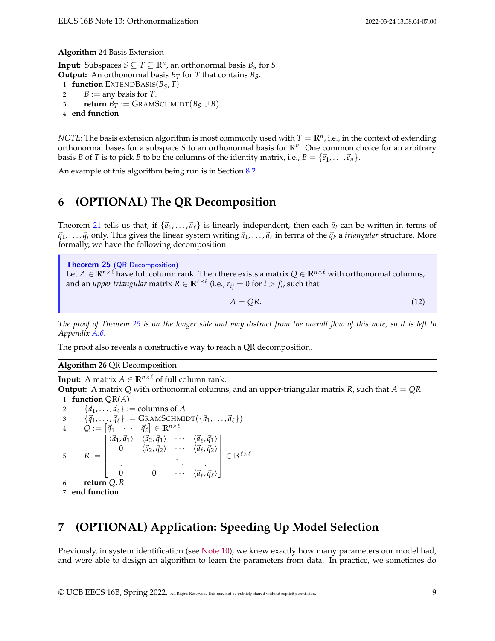**Algorithm 24** Basis Extension

**Input:** Subspaces  $S \subseteq T \subseteq \mathbb{R}^n$ , an orthonormal basis  $B_S$  for *S*. **Output:** An orthonormal basis  $B_T$  for *T* that contains  $B_S$ . 1: **function** EXTENDBASIS(*BS*, *T*) 2:  $B := \text{any basis for } T$ . 3: **return**  $B_T := \text{GRAMSCHMIDT}(B_S \cup B)$ . 4: **end function**

*NOTE*: The basis extension algorithm is most commonly used with  $T = \mathbb{R}^n$ , i.e., in the context of extending orthonormal bases for a subspace *S* to an orthonormal basis for **R***<sup>n</sup>* . One common choice for an arbitrary basis *B* of *T* is to pick *B* to be the columns of the identity matrix, i.e.,  $B = \{\vec{e}_1, \dots, \vec{e}_n\}.$ 

An example of this algorithm being run is in Section [8.2.](#page-11-0)

# **6 (OPTIONAL) The QR Decomposition**

Theorem [21](#page-7-0) tells us that, if  $\{\vec{a}_1, \ldots, \vec{a}_\ell\}$  is linearly independent, then each  $\vec{a}_i$  can be written in terms of  $\vec{q}_1, \ldots, \vec{q}_i$  only. This gives the linear system writing  $\vec{a}_1, \ldots, \vec{a}_\ell$  in terms of the  $\vec{q}_k$  a *triangular* structure. More formally, we have the following decomposition:

<span id="page-8-0"></span>Theorem 25 (QR Decomposition) Let  $A \in \mathbb{R}^{n \times \ell}$  have full column rank. Then there exists a matrix  $Q \in \mathbb{R}^{n \times \ell}$  with orthonormal columns, and an *upper triangular* matrix  $R \in \mathbb{R}^{\ell \times \ell}$  (i.e.,  $r_{ij} = 0$  for  $i > j$ ), such that

$$
A = QR. \tag{12}
$$

*The proof of Theorem [25](#page-8-0) is on the longer side and may distract from the overall flow of this note, so it is left to Appendix [A.6.](#page-19-0)*

The proof also reveals a constructive way to reach a QR decomposition.

**Algorithm 26** QR Decomposition

**Input:** A matrix  $A \in \mathbb{R}^{n \times \ell}$  of full column rank.

**Output:** A matrix Q with orthonormal columns, and an upper-triangular matrix *R*, such that  $A = QR$ . 1: **function** QR(*A*)

2:  $\{\vec{a}_1, \ldots, \vec{a}_\ell\} := \text{columns of } A$ 3:  $\{\vec{q}_1, ..., \vec{q}_\ell\} := \text{GRAMSCHMIDT}(\{\vec{a}_1, ..., \vec{a}_\ell\})$  $Q := [\vec{q}_1 \quad \cdots \quad \vec{q}_{\ell}] \in \mathbb{R}^{n \times \ell}$ 5:  $R :=$  $\lceil$   $\langle \vec{a}_1, \vec{q}_1 \rangle$   $\langle \vec{a}_2, \vec{q}_1 \rangle$   $\cdots$   $\langle \vec{a}_\ell, \vec{q}_1 \rangle$ 0  $\langle \vec{a}_2, \vec{q}_2 \rangle$   $\cdots$   $\langle \vec{a}_\ell, \vec{q}_2 \rangle$ . . . . . . . . . . . . 0 0  $\cdots$   $\langle \vec{a}_{\ell}, \vec{q}_{\ell} \rangle$ 1  $\in \mathbb{R}^{\ell \times \ell}$ 6: **return** *Q*, *R* 7: **end function**

# **7 (OPTIONAL) Application: Speeding Up Model Selection**

Previously, in system identification (see [Note 10\)](https://www.eecs16b.org/notes/sp22/note10.pdf), we knew exactly how many parameters our model had, and were able to design an algorithm to learn the parameters from data. In practice, we sometimes do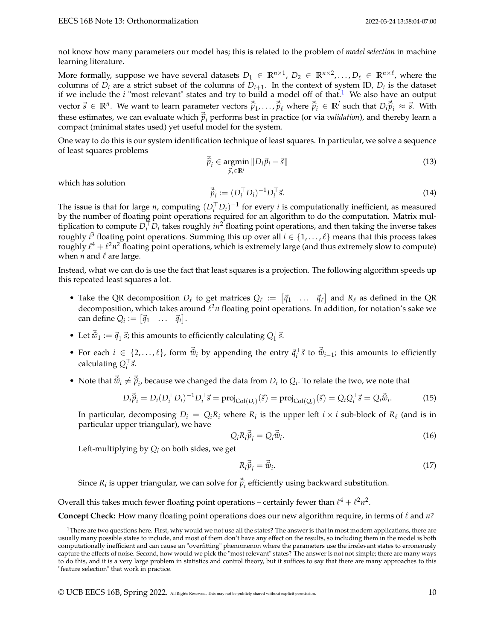not know how many parameters our model has; this is related to the problem of *model selection* in machine learning literature.

More formally, suppose we have several datasets  $D_1 \in \mathbb{R}^{n \times 1}$ ,  $D_2 \in \mathbb{R}^{n \times 2}$ ,..., $D_\ell \in \mathbb{R}^{n \times \ell}$ , where the columns of  $D_i$  are a strict subset of the columns of  $D_{i+1}$ . In the context of system ID,  $D_i$  is the dataset if we include the *i* "most relevant" states and try to build a model off of that.<sup>[1](#page-9-0)</sup> We also have an output vector  $\vec{s} \in \mathbb{R}^n$ . We want to learn parameter vectors  $\vec{\hat{p}}_1, \ldots, \vec{\hat{p}}_\ell$  where  $\vec{\hat{p}}_i \in \mathbb{R}^i$  such that  $D_i \vec{\hat{p}}_i \approx \vec{s}$ . With these estimates, we can evaluate which  $\vec{p}_i$  performs best in practice (or via *validation*), and thereby learn a<br>compact (minimal states used) yet useful model for the system compact (minimal states used) yet useful model for the system.

One way to do this is our system identification technique of least squares. In particular, we solve a sequence of least squares problems

$$
\vec{\hat{p}}_i \in \underset{\vec{p}_i \in \mathbb{R}^i}{\text{argmin}} \left\| D_i \vec{p}_i - \vec{s} \right\| \tag{13}
$$

which has solution

$$
\vec{\hat{p}}_i := (D_i^\top D_i)^{-1} D_i^\top \vec{s}.\tag{14}
$$

The issue is that for large *n*, computing  $(D_i^T D_i)^{-1}$  for every *i* is computationally inefficient, as measured by the number of floating point operations required for an algorithm to do the computation. Matrix multiplication to compute  $D_i^{\top} D_i$  takes roughly  $in^2$  floating point operations, and then taking the inverse takes roughly *i* <sup>3</sup> floating point operations. Summing this up over all *i* ∈ {1, . . . , ℓ} means that this process takes roughly  $\ell^4+\ell^2n^2$  floating point operations, which is extremely large (and thus extremely slow to compute) when  $n$  and  $\ell$  are large.

Instead, what we can do is use the fact that least squares is a projection. The following algorithm speeds up this repeated least squares a lot.

- Take the QR decomposition  $D_{\ell}$  to get matrices  $Q_{\ell} := [\vec{q}_1 \dots \vec{q}_{\ell}]$  and  $R_{\ell}$  as defined in the QR decomposition, which takes around *ℓ<sup>2</sup>n* floating point operations. In addition, for notation's sake we  $\text{can define } Q_i := \begin{bmatrix} \vec{q}_1 & \dots & \vec{q}_i \end{bmatrix}.$
- Let  $\vec{\hat{w}}_1 := \vec{q}_1^\top \vec{s}$ ; this amounts to efficiently calculating  $Q_1^\top \vec{s}$ .
- For each *i* ∈ {2, . . . ,  $\ell$ }, form  $\vec{\hat{w}}_i$  by appending the entry  $\vec{q}_i^{\top} \vec{s}$  to  $\vec{\hat{w}}_{i-1}$ ; this amounts to efficiently  $\mathsf{calculating}\, \mathsf{Q}_i^\top \vec{s}.$
- Note that  $\vec{\hat{w}}_i \neq \vec{\hat{p}}_i$ , because we changed the data from  $D_i$  to  $Q_i$ . To relate the two, we note that

$$
D_i \vec{\hat{p}}_i = D_i (D_i^\top D_i)^{-1} D_i^\top \vec{s} = \text{proj}_{\text{Col}(D_i)}(\vec{s}) = \text{proj}_{\text{Col}(Q_i)}(\vec{s}) = Q_i Q_i^\top \vec{s} = Q_i \vec{\hat{w}}_i.
$$
 (15)

In particular, decomposing  $D_i = Q_i R_i$  where  $R_i$  is the upper left  $i \times i$  sub-block of  $R_\ell$  (and is in particular upper triangular), we have

$$
Q_i R_i \vec{\hat{p}}_i = Q_i \vec{\hat{w}}_i.
$$
\n(16)

Left-multiplying by *Q<sup>i</sup>* on both sides, we get

$$
R_i \vec{\hat{p}}_i = \vec{\hat{w}}_i. \tag{17}
$$

Since  $R_i$  is upper triangular, we can solve for  $\vec{\hat{p}}_i$  efficiently using backward substitution.

Overall this takes much fewer floating point operations – certainly fewer than  $\ell^4+\ell^2n^2$ .

**Concept Check:** How many floating point operations does our new algorithm require, in terms of ℓ and *n*?

<span id="page-9-0"></span><sup>&</sup>lt;sup>1</sup>There are two questions here. First, why would we not use all the states? The answer is that in most modern applications, there are usually many possible states to include, and most of them don't have any effect on the results, so including them in the model is both computationally inefficient and can cause an "overfitting" phenomenon where the parameters use the irrelevant states to erroneously capture the effects of noise. Second, how would we pick the "most relevant" states? The answer is not not simple; there are many ways to do this, and it is a very large problem in statistics and control theory, but it suffices to say that there are many approaches to this "feature selection" that work in practice.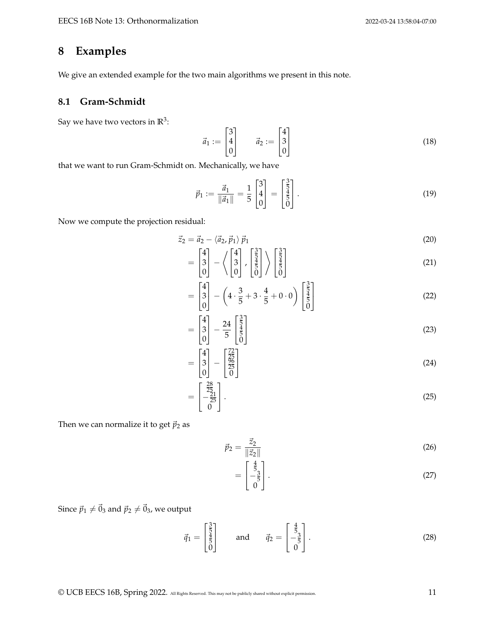# **8 Examples**

We give an extended example for the two main algorithms we present in this note.

## <span id="page-10-0"></span>**8.1 Gram-Schmidt**

Say we have two vectors in  $\mathbb{R}^3$ :

$$
\vec{a}_1 := \begin{bmatrix} 3 \\ 4 \\ 0 \end{bmatrix} \qquad \vec{a}_2 := \begin{bmatrix} 4 \\ 3 \\ 0 \end{bmatrix} \tag{18}
$$

that we want to run Gram-Schmidt on. Mechanically, we have

$$
\vec{p}_1 := \frac{\vec{a}_1}{\|\vec{a}_1\|} = \frac{1}{5} \begin{bmatrix} 3 \\ 4 \\ 0 \end{bmatrix} = \begin{bmatrix} \frac{3}{5} \\ \frac{4}{5} \\ 0 \end{bmatrix} . \tag{19}
$$

Now we compute the projection residual:

$$
\vec{z}_2 = \vec{a}_2 - \langle \vec{a}_2, \vec{p}_1 \rangle \vec{p}_1
$$
\n
$$
\begin{bmatrix} 4 \\ 1 \end{bmatrix} / \begin{bmatrix} 4 \\ 1 \end{bmatrix} \begin{bmatrix} \frac{3}{5} \\ \frac{1}{5} \end{bmatrix} \begin{bmatrix} \frac{3}{5} \\ \frac{1}{5} \end{bmatrix}
$$
\n
$$
(20)
$$

$$
= \begin{bmatrix} 4 \\ 3 \\ 0 \end{bmatrix} - \left\langle \begin{bmatrix} 4 \\ 3 \\ 0 \end{bmatrix}, \begin{bmatrix} \frac{3}{5} \\ \frac{4}{5} \\ 0 \end{bmatrix} \right\rangle \begin{bmatrix} \frac{3}{5} \\ \frac{4}{5} \\ 0 \end{bmatrix}
$$
(21)

$$
= \begin{bmatrix} 4 \\ 3 \\ 0 \end{bmatrix} - \left( 4 \cdot \frac{3}{5} + 3 \cdot \frac{4}{5} + 0 \cdot 0 \right) \begin{bmatrix} \frac{3}{5} \\ \frac{1}{5} \\ 0 \end{bmatrix}
$$
 (22)

$$
= \begin{bmatrix} 4 \\ 3 \\ 0 \end{bmatrix} - \frac{24}{5} \begin{bmatrix} \frac{3}{5} \\ \frac{4}{5} \\ 0 \end{bmatrix}
$$
 (23)

$$
= \begin{bmatrix} 4 \\ 3 \\ 0 \end{bmatrix} - \begin{bmatrix} \frac{72}{25} \\ \frac{96}{25} \\ 0 \end{bmatrix}
$$
 (24)

$$
= \begin{bmatrix} \frac{28}{25} \\ -\frac{21}{25} \\ 0 \end{bmatrix} .
$$
 (25)

Then we can normalize it to get  $\vec{p}_2$  as

$$
\vec{p}_2 = \frac{\vec{z}_2}{\|\vec{z}_2\|} \tag{26}
$$

$$
= \begin{bmatrix} \frac{4}{5} \\ -\frac{3}{5} \\ 0 \end{bmatrix} . \tag{27}
$$

Since  $\vec{p}_1 \neq \vec{0}_3$  and  $\vec{p}_2 \neq \vec{0}_3$ , we output

$$
\vec{q}_1 = \begin{bmatrix} \frac{3}{5} \\ \frac{4}{5} \\ 0 \end{bmatrix} \quad \text{and} \quad \vec{q}_2 = \begin{bmatrix} \frac{4}{5} \\ -\frac{3}{5} \\ 0 \end{bmatrix} . \tag{28}
$$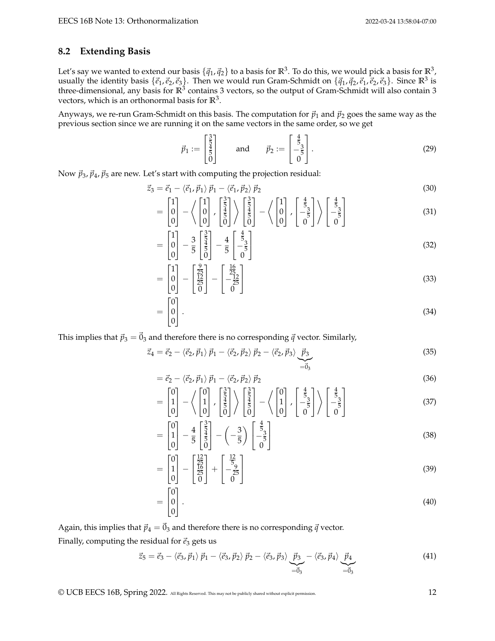### <span id="page-11-0"></span>**8.2 Extending Basis**

Let's say we wanted to extend our basis  $\{\vec{q}_1,\vec{q}_2\}$  to a basis for  $\mathbb{R}^3.$  To do this, we would pick a basis for  $\mathbb{R}^3.$ usually the identity basis  $\{\vec{e}_1,\vec{e}_2,\vec{e}_3\}$ . Then we would run Gram-Schmidt on  $\{\vec{q}_1,\vec{q}_2,\vec{e}_1,\vec{e}_2,\vec{e}_3\}$ . Since  $\mathbb{R}^3$  is three-dimensional, any basis for  $\mathbb{R}^3$  contains 3 vectors, so the output of Gram-Schmidt will also contain 3 vectors, which is an orthonormal basis for **R**<sup>3</sup> .

Anyways, we re-run Gram-Schmidt on this basis. The computation for  $\vec{p}_1$  and  $\vec{p}_2$  goes the same way as the previous section since we are running it on the same vectors in the same order, so we get

$$
\vec{p}_1 := \begin{bmatrix} \frac{3}{5} \\ \frac{4}{5} \\ 0 \end{bmatrix} \quad \text{and} \quad \vec{p}_2 := \begin{bmatrix} \frac{4}{5} \\ -\frac{3}{5} \\ 0 \end{bmatrix} . \tag{29}
$$

Now  $\vec{p}_3$ ,  $\vec{p}_4$ ,  $\vec{p}_5$  are new. Let's start with computing the projection residual:

$$
\vec{z}_3 = \vec{e}_1 - \langle \vec{e}_1, \vec{p}_1 \rangle \vec{p}_1 - \langle \vec{e}_1, \vec{p}_2 \rangle \vec{p}_2
$$
\n(30)

$$
= \begin{bmatrix} 1 \\ 0 \\ 0 \end{bmatrix} - \left\langle \begin{bmatrix} 1 \\ 0 \\ 0 \end{bmatrix}, \begin{bmatrix} \frac{3}{5} \\ \frac{4}{5} \\ 0 \end{bmatrix} \right\rangle \begin{bmatrix} \frac{3}{5} \\ \frac{4}{5} \\ 0 \end{bmatrix} - \left\langle \begin{bmatrix} 1 \\ 0 \\ 0 \end{bmatrix}, \begin{bmatrix} \frac{4}{5} \\ -\frac{3}{5} \\ 0 \end{bmatrix} \right\rangle \begin{bmatrix} \frac{4}{5} \\ -\frac{3}{5} \\ 0 \end{bmatrix}
$$
(31)

$$
= \begin{bmatrix} 1 \\ 0 \\ 0 \end{bmatrix} - \frac{3}{5} \begin{bmatrix} \frac{3}{5} \\ \frac{4}{5} \\ 0 \end{bmatrix} - \frac{4}{5} \begin{bmatrix} \frac{4}{5} \\ -\frac{3}{5} \\ 0 \end{bmatrix}
$$
(32)

$$
= \begin{bmatrix} 1 \\ 0 \\ 0 \end{bmatrix} - \begin{bmatrix} \frac{9}{25} \\ \frac{12}{25} \\ 0 \end{bmatrix} - \begin{bmatrix} \frac{16}{25} \\ -\frac{12}{25} \\ 0 \end{bmatrix}
$$
(33)

$$
= \begin{bmatrix} 0 \\ 0 \\ 0 \end{bmatrix} . \tag{34}
$$

This implies that  $\vec{p}_3 = \vec{0}_3$  and therefore there is no corresponding  $\vec{q}$  vector. Similarly,

$$
\vec{z}_4 = \vec{e}_2 - \langle \vec{e}_2, \vec{p}_1 \rangle \vec{p}_1 - \langle \vec{e}_2, \vec{p}_2 \rangle \vec{p}_2 - \langle \vec{e}_2, \vec{p}_3 \rangle \underbrace{\vec{p}_3}_{=\vec{0}_3}
$$
(35)

$$
= \vec{e}_2 - \langle \vec{e}_2, \vec{p}_1 \rangle \vec{p}_1 - \langle \vec{e}_2, \vec{p}_2 \rangle \vec{p}_2
$$
\n(36)

$$
= \begin{bmatrix} 0 \\ 1 \\ 0 \end{bmatrix} - \left\langle \begin{bmatrix} 0 \\ 1 \\ 0 \end{bmatrix}, \begin{bmatrix} \frac{3}{5} \\ \frac{1}{5} \\ 0 \end{bmatrix} \right\rangle \begin{bmatrix} \frac{3}{5} \\ \frac{1}{5} \\ 0 \end{bmatrix} - \left\langle \begin{bmatrix} 0 \\ 1 \\ 0 \end{bmatrix}, \begin{bmatrix} \frac{4}{5} \\ -\frac{3}{5} \\ 0 \end{bmatrix} \right\rangle \begin{bmatrix} \frac{4}{5} \\ -\frac{3}{5} \\ 0 \end{bmatrix}
$$
(37)

$$
= \begin{bmatrix} 0 \\ 1 \\ 0 \end{bmatrix} - \frac{4}{5} \begin{bmatrix} \frac{3}{5} \\ \frac{4}{5} \\ 0 \end{bmatrix} - \left( -\frac{3}{5} \right) \begin{bmatrix} \frac{4}{5} \\ -\frac{3}{5} \\ 0 \end{bmatrix}
$$
(38)

$$
= \begin{bmatrix} 0 \\ 1 \\ 0 \end{bmatrix} - \begin{bmatrix} \frac{12}{25} \\ \frac{16}{25} \\ 0 \end{bmatrix} + \begin{bmatrix} \frac{12}{5} \\ -\frac{9}{25} \\ 0 \end{bmatrix}
$$
(39)

$$
= \begin{bmatrix} 0 \\ 0 \\ 0 \end{bmatrix} . \tag{40}
$$

Again, this implies that  $\vec{p}_4 = \vec{0}_3$  and therefore there is no corresponding  $\vec{q}$  vector.

Finally, computing the residual for  $\vec{e}_3$  gets us

$$
\vec{z}_5 = \vec{e}_3 - \langle \vec{e}_3, \vec{p}_1 \rangle \ \vec{p}_1 - \langle \vec{e}_3, \vec{p}_2 \rangle \ \vec{p}_2 - \langle \vec{e}_3, \vec{p}_3 \rangle \underbrace{\vec{p}_3 - \langle \vec{e}_3, \vec{p}_4 \rangle}_{=\vec{0}_3} \underbrace{\vec{p}_4}_{=\vec{0}_3}
$$
(41)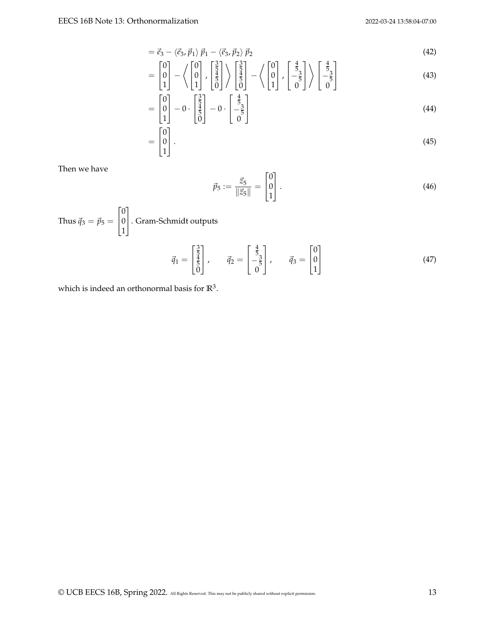$$
=\vec{e}_3-\langle\vec{e}_3,\vec{p}_1\rangle\vec{p}_1-\langle\vec{e}_3,\vec{p}_2\rangle\vec{p}_2
$$
\n(42)

$$
= \begin{bmatrix} 0 \\ 0 \\ 1 \end{bmatrix} - \left\langle \begin{bmatrix} 0 \\ 0 \\ 1 \end{bmatrix}, \begin{bmatrix} \frac{3}{5} \\ \frac{4}{5} \\ 0 \end{bmatrix} \right\rangle \begin{bmatrix} \frac{3}{5} \\ \frac{4}{5} \\ 0 \end{bmatrix} - \left\langle \begin{bmatrix} 0 \\ 0 \\ 1 \end{bmatrix}, \begin{bmatrix} \frac{4}{5} \\ -\frac{3}{5} \\ 0 \end{bmatrix} \right\rangle \begin{bmatrix} \frac{4}{5} \\ -\frac{3}{5} \\ 0 \end{bmatrix}
$$
(43)

$$
= \begin{bmatrix} 0 \\ 0 \\ 1 \end{bmatrix} - 0 \cdot \begin{bmatrix} \frac{3}{5} \\ \frac{4}{5} \\ 0 \end{bmatrix} - 0 \cdot \begin{bmatrix} \frac{4}{5} \\ -\frac{3}{5} \\ 0 \end{bmatrix}
$$
(44)

$$
= \begin{bmatrix} 0 \\ 0 \\ 1 \end{bmatrix} . \tag{45}
$$

Then we have

$$
\vec{p}_5 := \frac{\vec{z}_5}{\|\vec{z}_5\|} = \begin{bmatrix} 0 \\ 0 \\ 1 \end{bmatrix} . \tag{46}
$$

Thus  $\vec{q}_3 = \vec{p}_5 =$  $\lceil$  $\overline{\phantom{a}}$ 0 0 1 1 . Gram-Schmidt outputs

$$
\vec{q}_1 = \begin{bmatrix} \frac{3}{5} \\ \frac{4}{5} \\ 0 \end{bmatrix}, \qquad \vec{q}_2 = \begin{bmatrix} \frac{4}{5} \\ -\frac{3}{5} \\ 0 \end{bmatrix}, \qquad \vec{q}_3 = \begin{bmatrix} 0 \\ 0 \\ 1 \end{bmatrix}
$$
(47)

which is indeed an orthonormal basis for **R**<sup>3</sup> .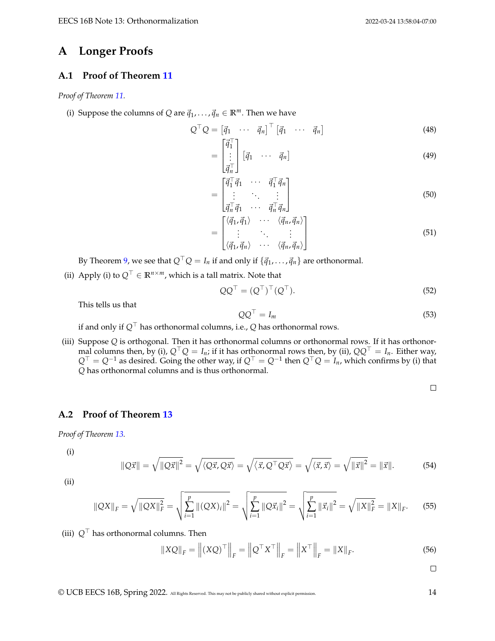# **A Longer Proofs**

## <span id="page-13-0"></span>**A.1 Proof of Theorem [11](#page-3-1)**

*Proof of Theorem [11.](#page-3-1)*

(i) Suppose the columns of *Q* are  $\vec{q}_1, \ldots, \vec{q}_n \in \mathbb{R}^m$ . Then we have

$$
Q^{\top} Q = \begin{bmatrix} \vec{q}_1 & \cdots & \vec{q}_n \end{bmatrix}^{\top} \begin{bmatrix} \vec{q}_1 & \cdots & \vec{q}_n \end{bmatrix}
$$
(48)

$$
= \begin{bmatrix} 1 \\ \vdots \\ \vec{q}_n \end{bmatrix} [\vec{q}_1 \quad \cdots \quad \vec{q}_n]
$$
 (49)

$$
= \begin{bmatrix} \vec{q}_1^\top \vec{q}_1 & \cdots & \vec{q}_1^\top \vec{q}_n \\ \vdots & \ddots & \vdots \\ \vec{q}_n^\top \vec{q}_1 & \cdots & \vec{q}_n^\top \vec{q}_n \end{bmatrix}
$$
(50)

$$
= \begin{bmatrix} \langle \vec{q}_1, \vec{q}_1 \rangle & \cdots & \langle \vec{q}_n, \vec{q}_n \rangle \\ \vdots & \ddots & \vdots \\ \langle \vec{q}_1, \vec{q}_n \rangle & \cdots & \langle \vec{q}_n, \vec{q}_n \rangle \end{bmatrix}
$$
(51)

By Theorem [9,](#page-2-0) we see that  $Q^{\top}Q = I_n$  if and only if  $\{\vec{q}_1, \ldots, \vec{q}_n\}$  are orthonormal.

(ii) Apply (i) to  $Q$ <sup>⊤</sup> ∈ **R**<sup>*n*×*m*</sup>, which is a tall matrix. Note that

$$
QQ^{\top} = (Q^{\top})^{\top} (Q^{\top}). \tag{52}
$$

This tells us that

$$
QQ^{\top} = I_m \tag{53}
$$

if and only if *Q*<sup>⊤</sup> has orthonormal columns, i.e., *Q* has orthonormal rows.

(iii) Suppose *Q* is orthogonal. Then it has orthonormal columns or orthonormal rows. If it has orthonormal columns then, by (i),  $Q^{\top}Q = I_n$ ; if it has orthonormal rows then, by (ii),  $QQ^{\top} = I_n$ . Either way, *Q*<sup>⊤</sup> = *Q*−<sup>1</sup> as desired. Going the other way, if *Q*<sup>⊤</sup> = *Q*−<sup>1</sup> then *Q*⊤*Q* = *In*, which confirms by (i) that *Q* has orthonormal columns and is thus orthonormal.

 $\Box$ 

## <span id="page-13-1"></span>**A.2 Proof of Theorem [13](#page-3-2)**

*Proof of Theorem [13.](#page-3-2)*

(i)

$$
\|Q\vec{x}\| = \sqrt{\|Q\vec{x}\|^2} = \sqrt{\langle Q\vec{x}, Q\vec{x}\rangle} = \sqrt{\langle \vec{x}, Q^\top Q\vec{x}\rangle} = \sqrt{\langle \vec{x}, \vec{x}\rangle} = \sqrt{\|\vec{x}\|^2} = \|\vec{x}\|.\tag{54}
$$

(ii)

$$
\|QX\|_F = \sqrt{\|QX\|_F^2} = \sqrt{\sum_{i=1}^p \|(QX)_i\|^2} = \sqrt{\sum_{i=1}^p \|Q\vec{x}_i\|^2} = \sqrt{\sum_{i=1}^p \|\vec{x}_i\|^2} = \sqrt{\|X\|_F^2} = \|X\|_F.
$$
 (55)

(iii) *Q*<sup>⊤</sup> has orthonormal columns. Then

$$
\|XQ\|_F = \left\|(XQ)^\top\right\|_F = \left\|Q^\top X^\top\right\|_F = \left\|X^\top\right\|_F = \|X\|_F. \tag{56}
$$

 $\Box$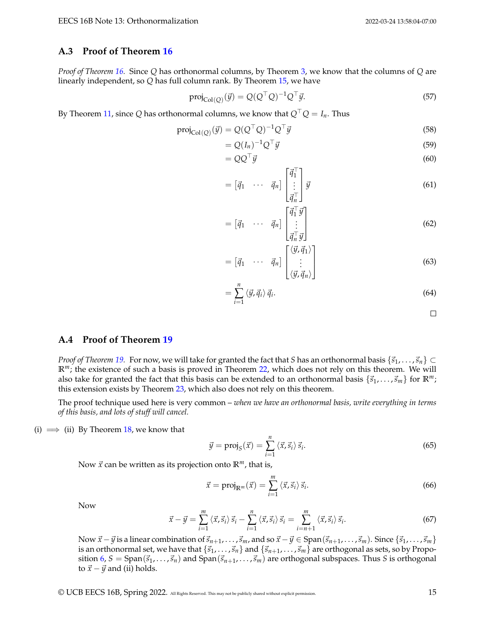### <span id="page-14-0"></span>**A.3 Proof of Theorem [16](#page-4-0)**

*Proof of Theorem [16.](#page-4-0)* Since *Q* has orthonormal columns, by Theorem [3,](#page-0-0) we know that the columns of *Q* are linearly independent, so *Q* has full column rank. By Theorem [15,](#page-4-2) we have

$$
\text{proj}_{\text{Col}(Q)}(\vec{y}) = Q(Q^{\top}Q)^{-1}Q^{\top}\vec{y}.\tag{57}
$$

By Theorem [11,](#page-3-1) since *Q* has orthonormal columns, we know that  $Q^{\top}Q = I_n$ . Thus

$$
\text{proj}_{\text{Col}(Q)}(\vec{y}) = Q(Q^{\top}Q)^{-1}Q^{\top}\vec{y}
$$
\n(58)

$$
= Q(I_n)^{-1} Q^{\top} \vec{y} \tag{59}
$$

$$
=QQ^{\top}\vec{y}\tag{60}
$$

$$
= \begin{bmatrix} \vec{q}_1 & \cdots & \vec{q}_n \end{bmatrix} \begin{bmatrix} \vec{q}_1^\top \\ \vdots \\ \vec{q}_n^\top \end{bmatrix} \vec{y}
$$
 (61)

$$
= \begin{bmatrix} \vec{q}_1 & \cdots & \vec{q}_n \end{bmatrix} \begin{bmatrix} \vec{q}_1^\top \vec{y} \\ \vdots \\ \vec{q}_n^\top \vec{y} \end{bmatrix}
$$
 (62)

$$
= \begin{bmatrix} \vec{q}_1 & \cdots & \vec{q}_n \end{bmatrix} \begin{bmatrix} \langle \vec{y}, \vec{q}_1 \rangle \\ \vdots \\ \langle \vec{y}, \vec{q}_n \rangle \end{bmatrix}
$$
(63)

$$
=\sum_{i=1}^{n}\left\langle \vec{y},\vec{q}_i\right\rangle \vec{q}_i.
$$
\n(64)

 $\Box$ 

### <span id="page-14-1"></span>**A.4 Proof of Theorem [19](#page-5-1)**

*Proof of Theorem* [19.](#page-5-1) For now, we will take for granted the fact that *S* has an orthonormal basis  $\{\vec{s}_1, \ldots, \vec{s}_n\} \subset$ **R***m*; the existence of such a basis is proved in Theorem [22,](#page-7-1) which does not rely on this theorem. We will also take for granted the fact that this basis can be extended to an orthonormal basis  $\{\vec{s}_1,\ldots,\vec{s}_m\}$  for  $\mathbb{R}^m$ ; this extension exists by Theorem [23,](#page-7-2) which also does not rely on this theorem.

The proof technique used here is very common – *when we have an orthonormal basis, write everything in terms of this basis, and lots of stuff will cancel.*

(i)  $\implies$  (ii) By Theorem [18,](#page-5-0) we know that

$$
\vec{y} = \text{proj}_{S}(\vec{x}) = \sum_{i=1}^{n} \langle \vec{x}, \vec{s}_i \rangle \vec{s}_i. \tag{65}
$$

Now  $\vec{x}$  can be written as its projection onto  $\mathbb{R}^m$ , that is,

$$
\vec{x} = \text{proj}_{\mathbb{R}^m}(\vec{x}) = \sum_{i=1}^m \langle \vec{x}, \vec{s}_i \rangle \, \vec{s}_i. \tag{66}
$$

Now

$$
\vec{x} - \vec{y} = \sum_{i=1}^{m} \langle \vec{x}, \vec{s}_i \rangle \vec{s}_i - \sum_{i=1}^{n} \langle \vec{x}, \vec{s}_i \rangle \vec{s}_i = \sum_{i=n+1}^{m} \langle \vec{x}, \vec{s}_i \rangle \vec{s}_i.
$$
 (67)

Now  $\vec{x} - \vec{y}$  is a linear combination of  $\vec{s}_{n+1}, \ldots, \vec{s}_m$ , and so  $\vec{x} - \vec{y} \in \text{Span}(\vec{s}_{n+1}, \ldots, \vec{s}_m)$ . Since  $\{\vec{s}_1, \ldots, \vec{s}_m\}$ is an orthonormal set, we have that  $\{\vec{s}_1,\ldots,\vec{s}_n\}$  and  $\{\vec{s}_{n+1},\ldots,\vec{s}_m\}$  are orthogonal as sets, so by Propo-sition [6,](#page-1-2)  $S = \text{Span}(\vec{s}_1, \ldots, \vec{s}_n)$  and  $\text{Span}(\vec{s}_{n+1}, \ldots, \vec{s}_m)$  are orthogonal subspaces. Thus *S* is orthogonal to  $\vec{x}$  –  $\vec{y}$  and (ii) holds.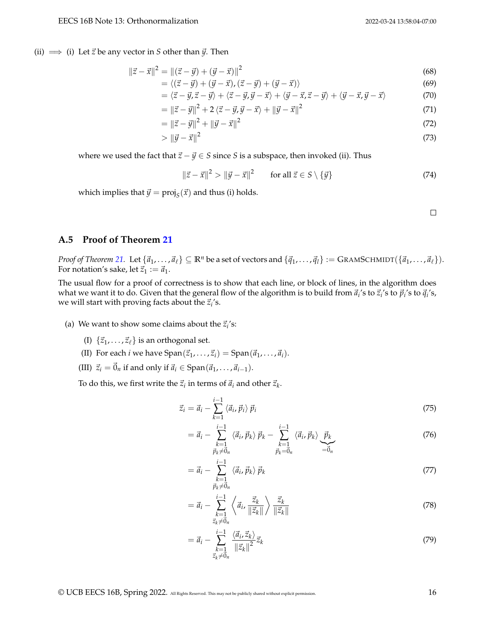(ii)  $\implies$  (i) Let  $\vec{z}$  be any vector in *S* other than  $\vec{y}$ . Then

$$
\|\vec{z} - \vec{x}\|^2 = \|(\vec{z} - \vec{y}) + (\vec{y} - \vec{x})\|^2 \tag{68}
$$

$$
= \langle (\vec{z} - \vec{y}) + (\vec{y} - \vec{x}), (\vec{z} - \vec{y}) + (\vec{y} - \vec{x}) \rangle \tag{69}
$$

$$
= \langle \vec{z} - \vec{y}, \vec{z} - \vec{y} \rangle + \langle \vec{z} - \vec{y}, \vec{y} - \vec{x} \rangle + \langle \vec{y} - \vec{x}, \vec{z} - \vec{y} \rangle + \langle \vec{y} - \vec{x}, \vec{y} - \vec{x} \rangle \tag{70}
$$

$$
= \left\| \vec{z} - \vec{y} \right\|^2 + 2 \left\langle \vec{z} - \vec{y}, \vec{y} - \vec{x} \right\rangle + \left\| \vec{y} - \vec{x} \right\|^2 \tag{71}
$$

$$
= \|\vec{z} - \vec{y}\|^2 + \|\vec{y} - \vec{x}\|^2 \tag{72}
$$

$$
> \|\vec{y} - \vec{x}\|^2 \tag{73}
$$

where we used the fact that  $\vec{z} - \vec{y} \in S$  since *S* is a subspace, then invoked (ii). Thus

$$
\|\vec{z} - \vec{x}\|^2 > \|\vec{y} - \vec{x}\|^2 \qquad \text{for all } \vec{z} \in S \setminus \{\vec{y}\}\tag{74}
$$

which implies that  $\vec{y} = \text{proj}_S(\vec{x})$  and thus (i) holds.

 $\Box$ 

### <span id="page-15-0"></span>**A.5 Proof of Theorem [21](#page-7-0)**

*Proof of Theorem [21.](#page-7-0)* Let  $\{\vec{a}_1, \ldots, \vec{a}_\ell\} \subseteq \mathbb{R}^n$  be a set of vectors and  $\{\vec{q}_1, \ldots, \vec{q}_l\} := \text{GRAMSCHMIDT}(\{\vec{a}_1, \ldots, \vec{a}_\ell\}).$ For notation's sake, let  $\vec{z}_1 := \vec{a}_1$ .

The usual flow for a proof of correctness is to show that each line, or block of lines, in the algorithm does what we want it to do. Given that the general flow of the algorithm is to build from  $\vec a_i$ 's to  $\vec z_i$ 's to  $\vec p_i$ 's to  $\vec q_i$ 's, we will start with proving facts about the  $\vec{z}_i$ 's.

- (a) We want to show some claims about the  $\vec{z}_i$ 's:
	- (I)  $\{\vec{z}_1, \ldots, \vec{z}_\ell\}$  is an orthogonal set.
	- (II) For each *i* we have  $\text{Span}(\vec{z}_1, \ldots, \vec{z}_i) = \text{Span}(\vec{a}_1, \ldots, \vec{a}_i)$ .
	- (III)  $\vec{z}_i = \vec{0}_n$  if and only if  $\vec{a}_i \in \text{Span}(\vec{a}_1, \ldots, \vec{a}_{i-1}).$

To do this, we first write the  $\vec{z}_i$  in terms of  $\vec{a}_i$  and other  $\vec{z}_k$ .

$$
\vec{z}_i = \vec{a}_i - \sum_{k=1}^{i-1} \langle \vec{a}_i, \vec{p}_i \rangle \vec{p}_i
$$
\n(75)

$$
= \vec{a}_i - \sum_{\substack{k=1\\ \vec{p}_k \neq \vec{0}_n}}^{i-1} \langle \vec{a}_i, \vec{p}_k \rangle \ \vec{p}_k - \sum_{\substack{k=1\\ \vec{p}_k = \vec{0}_n}}^{i-1} \langle \vec{a}_i, \vec{p}_k \rangle \underbrace{\vec{p}_k}_{=\vec{0}_n}
$$
(76)

$$
= \vec{a}_i - \sum_{\substack{k=1 \ \vec{p}_k \neq \vec{0}_n}}^{i-1} \langle \vec{a}_i, \vec{p}_k \rangle \, \vec{p}_k \tag{77}
$$

$$
= \vec{a}_i - \sum_{\substack{k=1 \ z_k \neq 0_n}}^{i-1} \left\langle \vec{a}_i, \frac{\vec{z}_k}{\|\vec{z}_k\|} \right\rangle \frac{\vec{z}_k}{\|\vec{z}_k\|}
$$
(78)

$$
= \vec{a}_i - \sum_{\substack{k=1\\ \vec{z}_k \neq \vec{0}_n}}^{i-1} \frac{\langle \vec{a}_i, \vec{z}_k \rangle}{\|\vec{z}_k\|^2} \vec{z}_k
$$
\n
$$
(79)
$$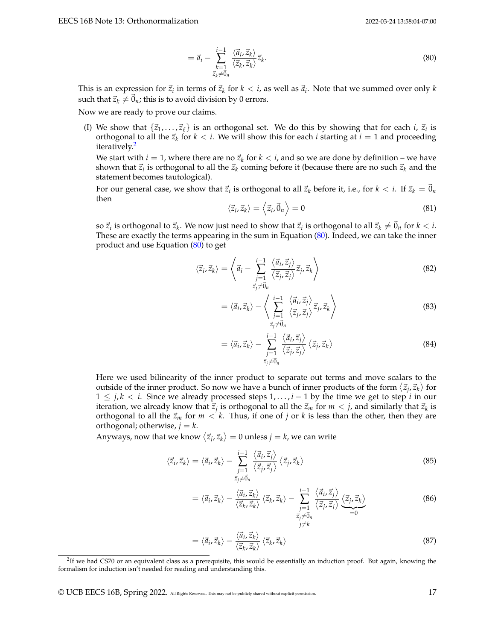<span id="page-16-1"></span>
$$
= \vec{a}_i - \sum_{\substack{k=1\\ \vec{z}_k \neq \vec{0}_n}}^{i-1} \frac{\langle \vec{a}_i, \vec{z}_k \rangle}{\langle \vec{z}_k, \vec{z}_k \rangle} \vec{z}_k.
$$
 (80)

This is an expression for  $\vec{z}_i$  in terms of  $\vec{z}_k$  for  $k < i$ , as well as  $\vec{a}_i$ . Note that we summed over only  $k$ such that  $\vec{z}_k \neq \vec{0}_n$ ; this is to avoid division by 0 errors.

Now we are ready to prove our claims.

(I) We show that  $\{\vec{z}_1, \ldots, \vec{z}_\ell\}$  is an orthogonal set. We do this by showing that for each *i*,  $\vec{z}_i$  is orthogonal to all the  $\vec{z}_k$  for  $k < i$ . We will show this for each *i* starting at  $i = 1$  and proceeding iteratively.<sup>[2](#page-16-0)</sup>

We start with  $i = 1$ , where there are no  $\vec{z}_k$  for  $k < i$ , and so we are done by definition – we have shown that  $\vec{z}_i$  is orthogonal to all the  $\vec{z}_k$  coming before it (because there are no such  $\vec{z}_k$  and the statement becomes tautological).

For our general case, we show that  $\vec{z}_i$  is orthogonal to all  $\vec{z}_k$  before it, i.e., for  $k < i$ . If  $\vec{z}_k = \vec{0}_n$ then

$$
\langle \vec{z}_i, \vec{z}_k \rangle = \langle \vec{z}_i, \vec{0}_n \rangle = 0 \tag{81}
$$

so  $\vec{z}_i$  is orthogonal to  $\vec{z}_k$ . We now just need to show that  $\vec{z}_i$  is orthogonal to all  $\vec{z}_k\neq\vec{0}_n$  for  $k < i$ . These are exactly the terms appearing in the sum in Equation [\(80\)](#page-16-1). Indeed, we can take the inner product and use Equation  $(80)$  to get

$$
\langle \vec{z}_i, \vec{z}_k \rangle = \left\langle \vec{a}_i - \sum_{\substack{j=1 \ \vec{z}_j \neq \vec{0}_n}}^{i-1} \frac{\langle \vec{a}_i, \vec{z}_j \rangle}{\langle \vec{z}_j, \vec{z}_j \rangle} \vec{z}_j, \vec{z}_k \right\rangle
$$
(82)

$$
= \langle \vec{a}_i, \vec{z}_k \rangle - \left\langle \sum_{\substack{j=1 \ \vec{z}_j \neq \vec{0}_n}}^{i-1} \frac{\langle \vec{a}_i, \vec{z}_j \rangle}{\langle \vec{z}_j, \vec{z}_j \rangle} \vec{z}_j, \vec{z}_k \right\rangle \tag{83}
$$

$$
= \langle \vec{a}_i, \vec{z}_k \rangle - \sum_{\substack{j=1 \ z_j \neq \vec{0}_n}}^{i-1} \frac{\langle \vec{a}_i, \vec{z}_j \rangle}{\langle \vec{z}_j, \vec{z}_j \rangle} \langle \vec{z}_j, \vec{z}_k \rangle \tag{84}
$$

Here we used bilinearity of the inner product to separate out terms and move scalars to the outside of the inner product. So now we have a bunch of inner products of the form  $\langle \vec{z}_j, \vec{z}_k \rangle$  for 1 ≤ *j*, *k* < *i*. Since we already processed steps 1, . . . , *i* − 1 by the time we get to step *i* in our iteration, we already know that  $\vec{z}_j$  is orthogonal to all the  $\vec{z}_m$  for  $m < j$ , and similarly that  $\vec{z}_k$  is orthogonal to all the  $\vec{z}_m$  for  $m < k$ . Thus, if one of *j* or *k* is less than the other, then they are orthogonal; otherwise,  $j = k$ .

Anyways, now that we know  $\langle \vec{z}_j, \vec{z}_k \rangle = 0$  unless  $j = k$ , we can write

$$
\langle \vec{z}_i, \vec{z}_k \rangle = \langle \vec{a}_i, \vec{z}_k \rangle - \sum_{\substack{j=1 \ \vec{z}_j \neq \vec{0}_n}}^{i-1} \frac{\langle \vec{a}_i, \vec{z}_j \rangle}{\langle \vec{z}_j, \vec{z}_j \rangle} \langle \vec{z}_j, \vec{z}_k \rangle \tag{85}
$$

$$
= \langle \vec{a}_i, \vec{z}_k \rangle - \frac{\langle \vec{a}_i, \vec{z}_k \rangle}{\langle \vec{z}_k, \vec{z}_k \rangle} \langle \vec{z}_k, \vec{z}_k \rangle - \sum_{\substack{j=1 \ \vec{z}_j \neq \vec{0}_n}}^{i-1} \frac{\langle \vec{a}_i, \vec{z}_j \rangle}{\langle \vec{z}_j, \vec{z}_j \rangle} \underbrace{\langle \vec{z}_j, \vec{z}_k \rangle}_{=0}
$$
(86)

$$
= \langle \vec{a}_i, \vec{z}_k \rangle - \frac{\langle \vec{a}_i, \vec{z}_k \rangle}{\langle \vec{z}_k, \vec{z}_k \rangle} \langle \vec{z}_k, \vec{z}_k \rangle \tag{87}
$$

<span id="page-16-0"></span><sup>2</sup> If we had CS70 or an equivalent class as a prerequisite, this would be essentially an induction proof. But again, knowing the formalism for induction isn't needed for reading and understanding this.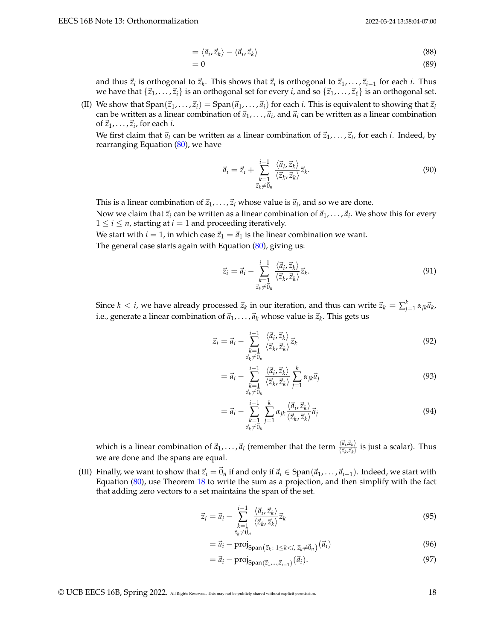$$
= \langle \vec{a}_i, \vec{z}_k \rangle - \langle \vec{a}_i, \vec{z}_k \rangle \tag{88}
$$

$$
=0\tag{89}
$$

and thus  $\vec{z}_i$  is orthogonal to  $\vec{z}_k$ . This shows that  $\vec{z}_i$  is orthogonal to  $\vec{z}_1, \ldots, \vec{z}_{i-1}$  for each *i*. Thus we have that  $\{\vec{z}_1, \ldots, \vec{z}_i\}$  is an orthogonal set for every *i*, and so  $\{\vec{z}_1, \ldots, \vec{z}_\ell\}$  is an orthogonal set.

(II) We show that  $Span(\vec{z}_1, \ldots, \vec{z}_i) = Span(\vec{a}_1, \ldots, \vec{a}_i)$  for each *i*. This is equivalent to showing that  $\vec{z}_i$ can be written as a linear combination of  $\vec{a}_1, \ldots, \vec{a}_i$  and  $\vec{a}_i$  can be written as a linear combination of  $\vec{z}_1, \ldots, \vec{z}_i$ , for each *i*.

We first claim that  $\vec{a}_i$  can be written as a linear combination of  $\vec{z}_1, \ldots, \vec{z}_i$ , for each *i*. Indeed, by rearranging Equation [\(80\)](#page-16-1), we have

$$
\vec{a}_i = \vec{z}_i + \sum_{\substack{k=1\\ \vec{z}_k \neq \vec{0}_n}}^{i-1} \frac{\langle \vec{a}_i, \vec{z}_k \rangle}{\langle \vec{z}_k, \vec{z}_k \rangle} \vec{z}_k.
$$
\n(90)

This is a linear combination of  $\vec{z}_1, \ldots, \vec{z}_i$  whose value is  $\vec{a}_i$ , and so we are done.

Now we claim that  $\vec{z}_i$  can be written as a linear combination of  $\vec{a}_1, \ldots, \vec{a}_i$ . We show this for every  $1 \le i \le n$ , starting at  $i = 1$  and proceeding iteratively.

We start with *i* = 1, in which case  $\vec{z}_1 = \vec{a}_1$  is the linear combination we want.

The general case starts again with Equation [\(80\)](#page-16-1), giving us:

$$
\vec{z}_i = \vec{a}_i - \sum_{\substack{k=1\\ \vec{z}_k \neq \vec{0}_n}}^{i-1} \frac{\langle \vec{a}_i, \vec{z}_k \rangle}{\langle \vec{z}_k, \vec{z}_k \rangle} \vec{z}_k.
$$
\n(91)

Since  $k < i$ , we have already processed  $\vec{z}_k$  in our iteration, and thus can write  $\vec{z}_k = \sum_{j=1}^k \alpha_{jk} \vec{a}_k$ , i.e., generate a linear combination of  $\vec{a}_1, \ldots, \vec{a}_k$  whose value is  $\vec{z}_k$ . This gets us

$$
\vec{z}_i = \vec{a}_i - \sum_{\substack{k=1\\ \vec{z}_k \neq \vec{0}_n}}^{i-1} \frac{\langle \vec{a}_i, \vec{z}_k \rangle}{\langle \vec{z}_k, \vec{z}_k \rangle} \vec{z}_k
$$
\n(92)

$$
= \vec{a}_i - \sum_{\substack{k=1\\ \vec{z}_k \neq \vec{0}_n}}^{i-1} \frac{\langle \vec{a}_i, \vec{z}_k \rangle}{\langle \vec{z}_k, \vec{z}_k \rangle} \sum_{j=1}^k \alpha_{jk} \vec{a}_j
$$
(93)

$$
= \vec{a}_i - \sum_{\substack{k=1\\ \vec{z}_k \neq \vec{0}_n}}^{i-1} \sum_{j=1}^k \alpha_{jk} \frac{\langle \vec{a}_i, \vec{z}_k \rangle}{\langle \vec{z}_k, \vec{z}_k \rangle} \vec{a}_j
$$
(94)

which is a linear combination of  $\vec{a}_1, \ldots, \vec{a}_i$  (remember that the term  $\frac{\langle \vec{a}_i, \vec{z}_k \rangle}{\langle \vec{z}_k, \vec{z}_k \rangle}$  $\frac{\langle u_i,z_k\rangle}{\langle \vec{z}_k,\vec{z}_k\rangle}$  is just a scalar). Thus we are done and the spans are equal.

(III) Finally, we want to show that  $\vec{z}_i = \vec{0}_n$  if and only if  $\vec{a}_i \in \text{Span}(\vec{a}_1, \ldots, \vec{a}_{i-1})$ . Indeed, we start with Equation [\(80\)](#page-16-1), use Theorem [18](#page-5-0) to write the sum as a projection, and then simplify with the fact that adding zero vectors to a set maintains the span of the set.

$$
\vec{z}_i = \vec{a}_i - \sum_{\substack{k=1\\ \vec{z}_k \neq \vec{0}_n}}^{i-1} \frac{\langle \vec{a}_i, \vec{z}_k \rangle}{\langle \vec{z}_k, \vec{z}_k \rangle} \vec{z}_k
$$
\n(95)

$$
= \vec{a}_i - \text{proj}_{\text{Span}\left(\vec{z}_k : 1 \le k < i, \, \vec{z}_k \neq \vec{0}_n\right)}\left(\vec{a}_i\right) \tag{96}
$$

$$
= \vec{a}_i - \text{proj}_{\text{Span}(\vec{z}_1, \dots, \vec{z}_{i-1})}(\vec{a}_i). \tag{97}
$$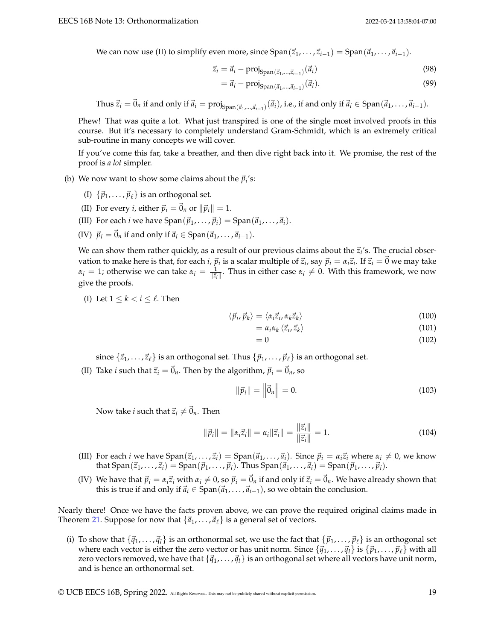We can now use (II) to simplify even more, since  $Span(\vec{z}_1, \ldots, \vec{z}_{i-1}) = Span(\vec{a}_1, \ldots, \vec{a}_{i-1})$ .

$$
\vec{z}_i = \vec{a}_i - \text{proj}_{\text{Span}(\vec{z}_1, \dots, \vec{z}_{i-1})}(\vec{a}_i)
$$
\n(98)

$$
= \vec{a}_i - \text{proj}_{\text{Span}(\vec{a}_1, \dots, \vec{a}_{i-1})}(\vec{a}_i). \tag{99}
$$

Thus  $\vec{z}_i = \vec{0}_n$  if and only if  $\vec{a}_i = \text{proj}_{\text{Span}(\vec{a}_1, ..., \vec{a}_{i-1})}(\vec{a}_i)$ , i.e., if and only if  $\vec{a}_i \in \text{Span}(\vec{a}_1, ..., \vec{a}_{i-1})$ .

Phew! That was quite a lot. What just transpired is one of the single most involved proofs in this course. But it's necessary to completely understand Gram-Schmidt, which is an extremely critical sub-routine in many concepts we will cover.

If you've come this far, take a breather, and then dive right back into it. We promise, the rest of the proof is *a lot* simpler.

- (b) We now want to show some claims about the  $\vec{p}_i$ 's:
	- (I)  $\{\vec{p}_1, \ldots, \vec{p}_\ell\}$  is an orthogonal set.
	- (II) For every *i*, either  $\vec{p}_i = \vec{0}_n$  or  $\|\vec{p}_i\| = 1$ .
	- (III) For each *i* we have  $\text{Span}(\vec{p}_1, \ldots, \vec{p}_i) = \text{Span}(\vec{a}_1, \ldots, \vec{a}_i)$ .
	- (IV)  $\vec{p}_i = \vec{0}_n$  if and only if  $\vec{a}_i \in \text{Span}(\vec{a}_1, \ldots, \vec{a}_{i-1}).$

We can show them rather quickly, as a result of our previous claims about the  $\vec{z}_i$ 's. The crucial observation to make here is that, for each *i*,  $\vec{p}_i$  is a scalar multiple of  $\vec{z}_i$ , say  $\vec{p}_i=\alpha_i\vec{z}_i$ . If  $\vec{z}_i=\vec{0}$  we may take  $\alpha_i = 1$ ; otherwise we can take  $\alpha_i = \frac{1}{\|\vec{z}_i\|}$ . Thus in either case  $\alpha_i \neq 0$ . With this framework, we now give the proofs.

(I) Let  $1 \leq k \leq i \leq \ell$ . Then

$$
\langle \vec{p}_i, \vec{p}_k \rangle = \langle \alpha_i \vec{z}_i, \alpha_k \vec{z}_k \rangle \tag{100}
$$

$$
= \alpha_i \alpha_k \langle \vec{z}_i, \vec{z}_k \rangle \tag{101}
$$

$$
=0 \tag{102}
$$

since  $\{\vec{z}_1,\ldots,\vec{z}_\ell\}$  is an orthogonal set. Thus  $\{\vec{p}_1,\ldots,\vec{p}_\ell\}$  is an orthogonal set.

(II) Take *i* such that  $\vec{z}_i = \vec{0}_n$ . Then by the algorithm,  $\vec{p}_i = \vec{0}_n$ , so

$$
\|\vec{p}_i\| = \left\|\vec{0}_n\right\| = 0. \tag{103}
$$

Now take *i* such that  $\vec{z}_i \neq \vec{0}_n$ . Then

$$
\|\vec{p}_i\| = \|\alpha_i \vec{z}_i\| = \alpha_i \|\vec{z}_i\| = \frac{\|\vec{z}_i\|}{\|\vec{z}_i\|} = 1.
$$
 (104)

- (III) For each *i* we have  $Span(\vec{z}_1, \ldots, \vec{z}_i) = Span(\vec{a}_1, \ldots, \vec{a}_i)$ . Since  $\vec{p}_i = \alpha_i \vec{z}_i$  where  $\alpha_i \neq 0$ , we know that  $\text{Span}(\vec{z}_1,\ldots,\vec{z}_i) = \text{Span}(\vec{p}_1,\ldots,\vec{p}_i)$ . Thus  $\text{Span}(\vec{a}_1,\ldots,\vec{a}_i) = \text{Span}(\vec{p}_1,\ldots,\vec{p}_i)$ .
- (IV) We have that  $\vec{p}_i = \alpha_i \vec{z}_i$  with  $\alpha_i \neq 0$ , so  $\vec{p}_i = \vec{0}_n$  if and only if  $\vec{z}_i = \vec{0}_n$ . We have already shown that this is true if and only if  $\vec{a}$ <sup>*i*</sup> ∈ Span( $\vec{a}$ <sub>1</sub>, . . . ,  $\vec{a}$ <sub>*i*−1</sub>), so we obtain the conclusion.

Nearly there! Once we have the facts proven above, we can prove the required original claims made in Theorem [21.](#page-7-0) Suppose for now that  $\{\vec{a}_1, \ldots, \vec{a}_\ell\}$  is a general set of vectors.

(i) To show that  $\{\bar{q}_1, \ldots, \bar{q}_l\}$  is an orthonormal set, we use the fact that  $\{\bar{p}_1, \ldots, \bar{p}_\ell\}$  is an orthogonal set where each vector is either the zero vector or has unit norm. Since  $\{\vec{q}_1,\ldots,\vec{q}_l\}$  is  $\{\vec{p}_1,\ldots,\vec{p}_\ell\}$  with all zero vectors removed, we have that  $\{\vec{q}_1, \ldots, \vec{q}_l\}$  is an orthogonal set where all vectors have unit norm, and is hence an orthonormal set.